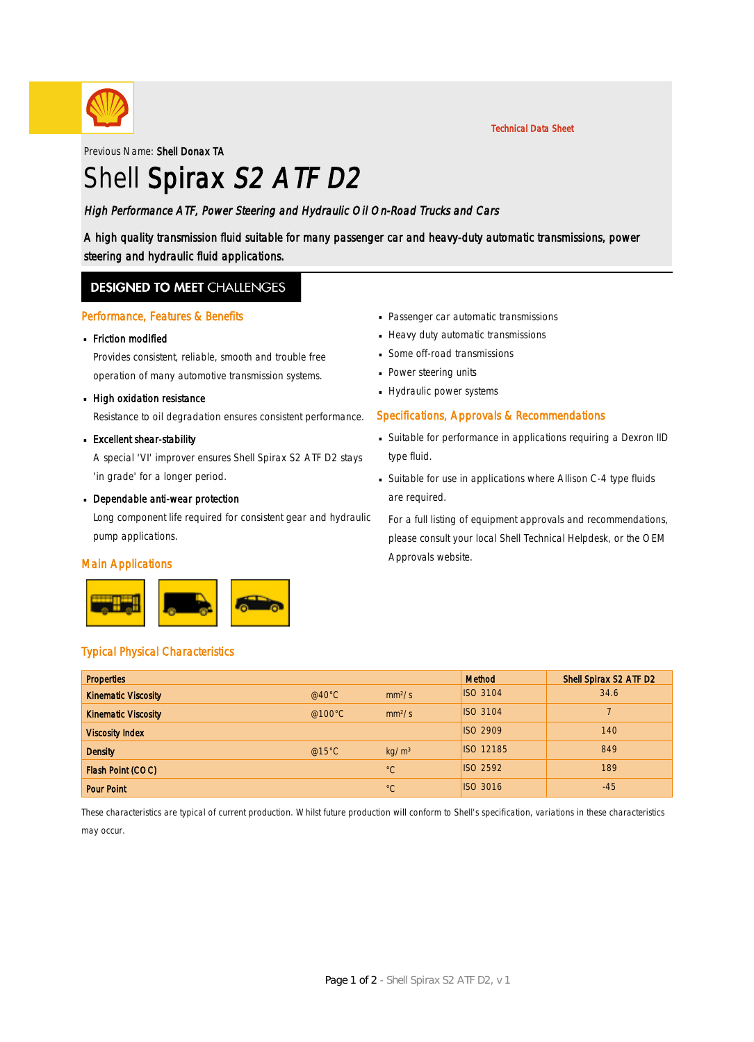

Previous Name: Shell Donax TA

# Shell Spirax S2 ATF D2

### High Performance ATF, Power Steering and Hydraulic Oil On-Road Trucks and Cars

A high quality transmission fluid suitable for many passenger car and heavy-duty automatic transmissions, power steering and hydraulic fluid applications.

### **DESIGNED TO MEET CHALLENGES**

#### Performance, Features & Benefits

# Friction modified ·

Provides consistent, reliable, smooth and trouble free operation of many automotive transmission systems.

# **High oxidation resistance**

Resistance to oil degradation ensures consistent performance.

# **Excellent shear-stability**

A special 'VI' improver ensures Shell Spirax S2 ATF D2 stays 'in grade' for a longer period.

# Dependable anti-wear protection

Long component life required for consistent gear and hydraulic pump applications.

#### Main Applications



- Passenger car automatic transmissions ·
- Heavy duty automatic transmissions
- Some off-road transmissions ·
- Power steering units
- Hydraulic power systems

### Specifications, Approvals & Recommendations

- Suitable for performance in applications requiring a Dexron IID · type fluid.
- Suitable for use in applications where Allison C-4 type fluids · are required.

For a full listing of equipment approvals and recommendations, please consult your local Shell Technical Helpdesk, or the OEM Approvals website.

### Typical Physical Characteristics

| <b>Properties</b>          |                  |                    | Method           | Shell Spirax S2 ATF D2 |
|----------------------------|------------------|--------------------|------------------|------------------------|
| <b>Kinematic Viscosity</b> | $@40^{\circ}$ C  | mm <sup>2</sup> /s | <b>ISO 3104</b>  | 34.6                   |
| <b>Kinematic Viscosity</b> | @100 $\degree$ C | mm <sup>2</sup> /s | <b>ISO 3104</b>  |                        |
| <b>Viscosity Index</b>     |                  |                    | <b>ISO 2909</b>  | 140                    |
| <b>Density</b>             | @15 $°C$         | kg/m <sup>3</sup>  | <b>ISO 12185</b> | 849                    |
| Flash Point (COC)          |                  | $^{\circ}C$        | <b>ISO 2592</b>  | 189                    |
| <b>Pour Point</b>          |                  | $^{\circ}C$        | <b>ISO 3016</b>  | $-45$                  |

These characteristics are typical of current production. Whilst future production will conform to Shell's specification, variations in these characteristics

may occur.

Technical Data Sheet